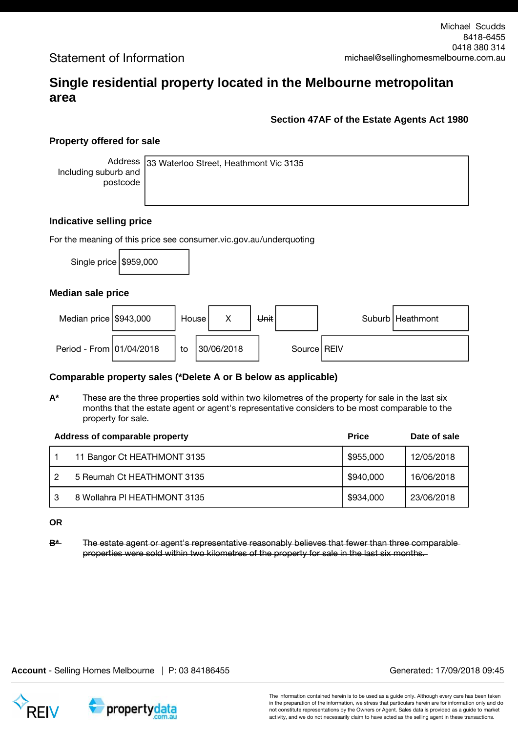## **Single residential property located in the Melbourne metropolitan area**

### **Section 47AF of the Estate Agents Act 1980**

### **Property offered for sale**

Address Including suburb and postcode

33 Waterloo Street, Heathmont Vic 3135

#### **Indicative selling price**

For the meaning of this price see consumer.vic.gov.au/underquoting

Single price  $\frac{1}{9959,000}$ 

#### **Median sale price**

| Median price $$943,000$  | House I |            | Unit |               | Suburb   Heathmont |
|--------------------------|---------|------------|------|---------------|--------------------|
| Period - From 01/04/2018 | to      | 30/06/2018 |      | Source   REIV |                    |

### **Comparable property sales (\*Delete A or B below as applicable)**

**A\*** These are the three properties sold within two kilometres of the property for sale in the last six months that the estate agent or agent's representative considers to be most comparable to the property for sale.

|   | Address of comparable property | <b>Price</b> | Date of sale |
|---|--------------------------------|--------------|--------------|
|   | 11 Bangor Ct HEATHMONT 3135    | \$955,000    | 12/05/2018   |
| 2 | 5 Reumah Ct HEATHMONT 3135     | \$940,000    | 16/06/2018   |
| 3 | 8 Wollahra PI HEATHMONT 3135   | \$934,000    | 23/06/2018   |

**OR**

**B\*** The estate agent or agent's representative reasonably believes that fewer than three comparable properties were sold within two kilometres of the property for sale in the last six months.

**Account** - Selling Homes Melbourne | P: 03 84186455 Generated: 17/09/2018 09:45

propertydata

The information contained herein is to be used as a guide only. Although every care has been taken in the preparation of the information, we stress that particulars herein are for information only and do not constitute representations by the Owners or Agent. Sales data is provided as a guide to market activity, and we do not necessarily claim to have acted as the selling agent in these transactions.